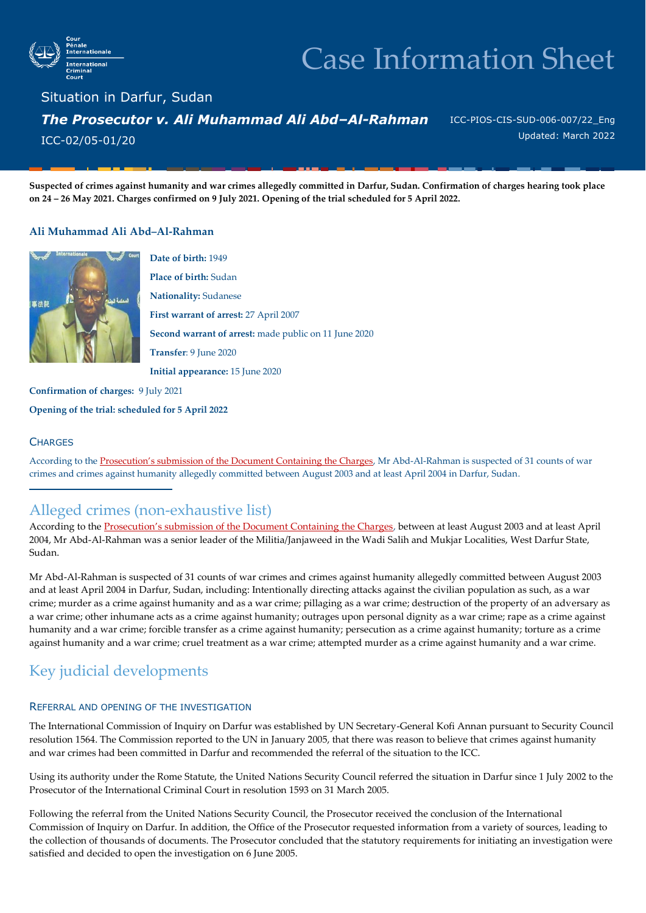

# Case Information Sheet

Situation in Darfur, Sudan *The Prosecutor v. Ali Muhammad Ali Abd–Al-Rahman*  ICC-02/05-01/20

ICC-PIOS-CIS-SUD-006-007/22\_Eng Updated: March 2022

**Suspected of crimes against humanity and war crimes allegedly committed in Darfur, Sudan. Confirmation of charges hearing took place on 24 – 26 May 2021. Charges confirmed on 9 July 2021. Opening of the trial scheduled for 5 April 2022.**

#### **Ali Muhammad Ali Abd–Al-Rahman**



**Date of birth:** 1949 **Place of birth:** Sudan **Nationality:** Sudanese **First warrant of arrest:** 27 April 2007 **Second warrant of arrest:** made public on 11 June 2020 **Transfer**: 9 June 2020 **Initial appearance:** 15 June 2020

**Confirmation of charges:** 9 July 2021

**Opening of the trial: scheduled for 5 April 2022**

#### **CHARGES**

According to the [Prosecution's submission of the Document Containing the Charges](https://www.icc-cpi.int/Pages/record.aspx?docNo=ICC-02/05-01/20-325), Mr Abd-Al-Rahman is suspected of 31 counts of war crimes and crimes against humanity allegedly committed between August 2003 and at least April 2004 in Darfur, Sudan.

### Alleged crimes (non-exhaustive list)

According to the [Prosecution's submission of the Document Containing the Charges](https://www.icc-cpi.int/Pages/record.aspx?docNo=ICC-02/05-01/20-325), between at least August 2003 and at least April 2004, Mr Abd-Al-Rahman was a senior leader of the Militia/Janjaweed in the Wadi Salih and Mukjar Localities, West Darfur State, Sudan.

Mr Abd-Al-Rahman is suspected of 31 counts of war crimes and crimes against humanity allegedly committed between August 2003 and at least April 2004 in Darfur, Sudan, including: Intentionally directing attacks against the civilian population as such, as a war crime; murder as a crime against humanity and as a war crime; pillaging as a war crime; destruction of the property of an adversary as a war crime; other inhumane acts as a crime against humanity; outrages upon personal dignity as a war crime; rape as a crime against humanity and a war crime; forcible transfer as a crime against humanity; persecution as a crime against humanity; torture as a crime against humanity and a war crime; cruel treatment as a war crime; attempted murder as a crime against humanity and a war crime.

## Key judicial developments

#### REFERRAL AND OPENING OF THE INVESTIGATION

The International Commission of Inquiry on Darfur was established by UN Secretary-General Kofi Annan pursuant to Security Council resolution 1564. The Commission reported to the UN in January 2005, that there was reason to believe that crimes against humanity and war crimes had been committed in Darfur and recommended the referral of the situation to the ICC.

Using its authority under the Rome Statute, the United Nations Security Council referred the situation in Darfur since 1 July 2002 to the Prosecutor of the International Criminal Court in resolution 1593 on 31 March 2005.

Following the referral from the United Nations Security Council, the Prosecutor received the conclusion of the International Commission of Inquiry on Darfur. In addition, the Office of the Prosecutor requested information from a variety of sources, leading to the collection of thousands of documents. The Prosecutor concluded that the statutory requirements for initiating an investigation were satisfied and decided to open the investigation on 6 June 2005.